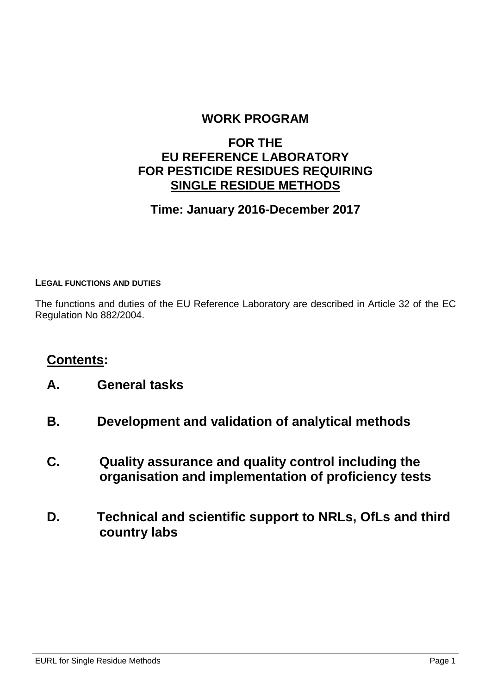### **WORK PROGRAM**

## **FOR THE EU REFERENCE LABORATORY FOR PESTICIDE RESIDUES REQUIRING SINGLE RESIDUE METHODS**

## **Time: January 2016-December 2017**

#### **LEGAL FUNCTIONS AND DUTIES**

The functions and duties of the EU Reference Laboratory are described in Article 32 of the EC Regulation No 882/2004.

### **Contents:**

- **A. General tasks**
- **B. Development and validation of analytical methods**
- **C. Quality assurance and quality control including the organisation and implementation of proficiency tests**
- **D. Technical and scientific support to NRLs, OfLs and third country labs**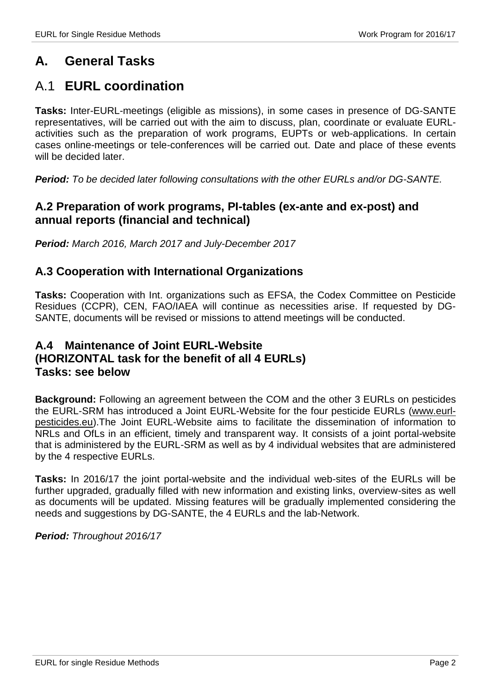# **A. General Tasks**

# A.1 **EURL coordination**

**Tasks:** Inter-EURL-meetings (eligible as missions), in some cases in presence of DG-SANTE representatives, will be carried out with the aim to discuss, plan, coordinate or evaluate EURLactivities such as the preparation of work programs, EUPTs or web-applications. In certain cases online-meetings or tele-conferences will be carried out. Date and place of these events will be decided later.

*Period: To be decided later following consultations with the other EURLs and/or DG-SANTE.*

#### **A.2 Preparation of work programs, PI-tables (ex-ante and ex-post) and annual reports (financial and technical)**

*Period: March 2016, March 2017 and July-December 2017*

#### **A.3 Cooperation with International Organizations**

**Tasks:** Cooperation with Int. organizations such as EFSA, the Codex Committee on Pesticide Residues (CCPR), CEN, FAO/IAEA will continue as necessities arise. If requested by DG-SANTE, documents will be revised or missions to attend meetings will be conducted.

#### **A.4 Maintenance of Joint EURL-Website (HORIZONTAL task for the benefit of all 4 EURLs) Tasks: see below**

**Background:** Following an agreement between the COM and the other 3 EURLs on pesticides the EURL-SRM has introduced a Joint EURL-Website for the four pesticide EURLs [\(www.eurl](http://www.eurl-pesticides.eu/)[pesticides.eu\)](http://www.eurl-pesticides.eu/).The Joint EURL-Website aims to facilitate the dissemination of information to NRLs and OfLs in an efficient, timely and transparent way. It consists of a joint portal-website that is administered by the EURL-SRM as well as by 4 individual websites that are administered by the 4 respective EURLs.

**Tasks:** In 2016/17 the joint portal-website and the individual web-sites of the EURLs will be further upgraded, gradually filled with new information and existing links, overview-sites as well as documents will be updated. Missing features will be gradually implemented considering the needs and suggestions by DG-SANTE, the 4 EURLs and the lab-Network.

*Period: Throughout 2016/17*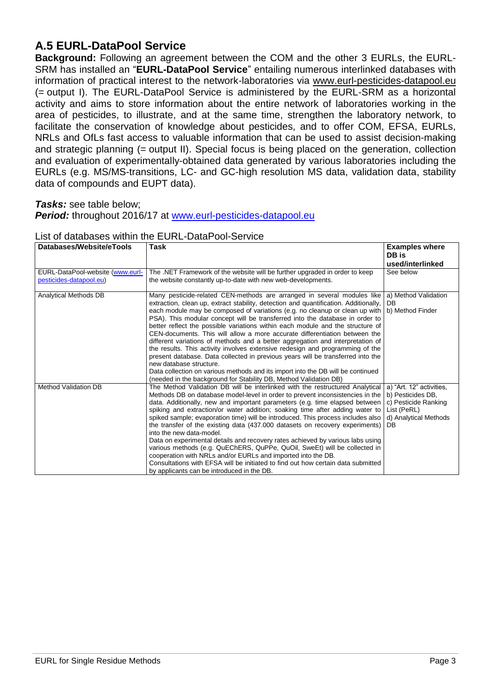### **A.5 EURL-DataPool Service**

**Background:** Following an agreement between the COM and the other 3 EURLs, the EURL-SRM has installed an "**EURL-DataPool Service**" entailing numerous interlinked databases with information of practical interest to the network-laboratories via [www.eurl-pesticides-datapool.eu](http://www.eurl-pesticides-datapool.eu/) (= output I). The EURL-DataPool Service is administered by the EURL-SRM as a horizontal activity and aims to store information about the entire network of laboratories working in the area of pesticides, to illustrate, and at the same time, strengthen the laboratory network, to facilitate the conservation of knowledge about pesticides, and to offer COM, EFSA, EURLs, NRLs and OfLs fast access to valuable information that can be used to assist decision-making and strategic planning (= output II). Special focus is being placed on the generation, collection and evaluation of experimentally-obtained data generated by various laboratories including the EURLs (e.g. MS/MS-transitions, LC- and GC-high resolution MS data, validation data, stability data of compounds and EUPT data).

#### *Tasks:* see table below;

*Period:* throughout 2016/17 at [www.eurl-pesticides-datapool.eu](http://www.eurl-pesticides-datapool.eu/)

| Databases/Website/eTools                                    | Task                                                                                                                                                                                                                                                                                                                                                                                                                                                                                                                                                                                                                                                                                                                                                                                                                                                                                                                                    | <b>Examples where</b><br>DB is<br>used/interlinked                                                                  |
|-------------------------------------------------------------|-----------------------------------------------------------------------------------------------------------------------------------------------------------------------------------------------------------------------------------------------------------------------------------------------------------------------------------------------------------------------------------------------------------------------------------------------------------------------------------------------------------------------------------------------------------------------------------------------------------------------------------------------------------------------------------------------------------------------------------------------------------------------------------------------------------------------------------------------------------------------------------------------------------------------------------------|---------------------------------------------------------------------------------------------------------------------|
| EURL-DataPool-website (www.eurl-<br>pesticides-datapool.eu) | The .NET Framework of the website will be further upgraded in order to keep<br>the website constantly up-to-date with new web-developments.                                                                                                                                                                                                                                                                                                                                                                                                                                                                                                                                                                                                                                                                                                                                                                                             | See below                                                                                                           |
| <b>Analytical Methods DB</b>                                | Many pesticide-related CEN-methods are arranged in several modules like<br>extraction, clean up, extract stability, detection and quantification. Additionally,<br>each module may be composed of variations (e.g. no cleanup or clean up with<br>PSA). This modular concept will be transferred into the database in order to<br>better reflect the possible variations within each module and the structure of<br>CEN-documents. This will allow a more accurate differentiation between the<br>different variations of methods and a better aggregation and interpretation of<br>the results. This activity involves extensive redesign and programming of the<br>present database. Data collected in previous years will be transferred into the<br>new database structure.<br>Data collection on various methods and its import into the DB will be continued<br>(needed in the background for Stability DB, Method Validation DB) | a) Method Validation<br>DB<br>b) Method Finder                                                                      |
| <b>Method Validation DB</b>                                 | The Method Validation DB will be interlinked with the restructured Analytical<br>Methods DB on database model-level in order to prevent inconsistencies in the<br>data. Additionally, new and important parameters (e.g. time elapsed between<br>spiking and extraction/or water addition; soaking time after adding water to<br>spiked sample; evaporation time) will be introduced. This process includes also<br>the transfer of the existing data (437.000 datasets on recovery experiments)<br>into the new data-model.<br>Data on experimental details and recovery rates achieved by various labs using<br>various methods (e.g. QuEChERS, QuPPe, QuOil, SweEt) will be collected in<br>cooperation with NRLs and/or EURLs and imported into the DB.<br>Consultations with EFSA will be initiated to find out how certain data submitted<br>by applicants can be introduced in the DB.                                           | a) "Art. 12" activities,<br>b) Pesticides DB,<br>c) Pesticide Ranking<br>List (PeRL)<br>d) Analytical Methods<br>DB |

#### List of databases within the EURL-DataPool-Service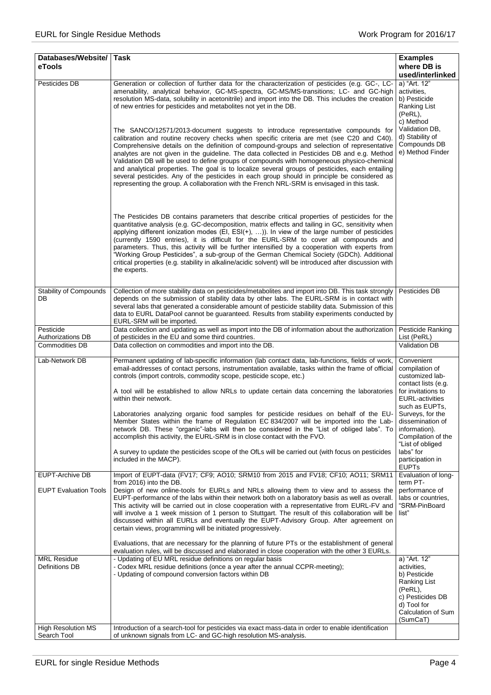| Databases/Website/ Task<br>eTools                      |                                                                                                                                                                                                                                                                                                                                                                                                                                                                                                                                                                                                                                                                                                                            | <b>Examples</b><br>where DB is                                                                                                              |
|--------------------------------------------------------|----------------------------------------------------------------------------------------------------------------------------------------------------------------------------------------------------------------------------------------------------------------------------------------------------------------------------------------------------------------------------------------------------------------------------------------------------------------------------------------------------------------------------------------------------------------------------------------------------------------------------------------------------------------------------------------------------------------------------|---------------------------------------------------------------------------------------------------------------------------------------------|
|                                                        |                                                                                                                                                                                                                                                                                                                                                                                                                                                                                                                                                                                                                                                                                                                            | used/interlinked                                                                                                                            |
| Pesticides DB                                          | Generation or collection of further data for the characterization of pesticides (e.g. GC-, LC-<br>amenability, analytical behavior, GC-MS-spectra, GC-MS/MS-transitions; LC- and GC-high<br>resolution MS-data, solubility in acetonitrile) and import into the DB. This includes the creation<br>of new entries for pesticides and metabolites not yet in the DB.<br>The SANCO/12571/2013-document suggests to introduce representative compounds for                                                                                                                                                                                                                                                                     | a) "Art. 12"<br>activities.<br>b) Pesticide<br>Ranking List<br>(PeRL),<br>c) Method<br>Validation DB,                                       |
|                                                        | calibration and routine recovery checks when specific criteria are met (see C20 and C40).<br>Comprehensive details on the definition of compound-groups and selection of representative<br>analytes are not given in the guideline. The data collected in Pesticides DB and e.g. Method<br>Validation DB will be used to define groups of compounds with homogeneous physico-chemical<br>and analytical properties. The goal is to localize several groups of pesticides, each entailing<br>several pesticides. Any of the pesticides in each group should in principle be considered as<br>representing the group. A collaboration with the French NRL-SRM is envisaged in this task.                                     | d) Stability of<br>Compounds DB<br>e) Method Finder                                                                                         |
|                                                        | The Pesticides DB contains parameters that describe critical properties of pesticides for the<br>quantitative analysis (e.g. GC-decomposition, matrix effects and tailing in GC, sensitivity when<br>applying different ionization modes (EI, $ESI(+)$ , )). In view of the large number of pesticides<br>(currently 1590 entries), it is difficult for the EURL-SRM to cover all compounds and<br>parameters. Thus, this activity will be further intensified by a cooperation with experts from<br>"Working Group Pesticides", a sub-group of the German Chemical Society (GDCh). Additional<br>critical properties (e.g. stability in alkaline/acidic solvent) will be introduced after discussion with<br>the experts. |                                                                                                                                             |
| <b>Stability of Compounds</b><br>DB                    | Collection of more stability data on pesticides/metabolites and import into DB. This task strongly<br>depends on the submission of stability data by other labs. The EURL-SRM is in contact with<br>several labs that generated a considerable amount of pesticide stability data. Submission of this<br>data to EURL DataPool cannot be guaranteed. Results from stability experiments conducted by<br>EURL-SRM will be imported.                                                                                                                                                                                                                                                                                         | Pesticides DB                                                                                                                               |
| Pesticide<br>Authorizations DB                         | Data collection and updating as well as import into the DB of information about the authorization<br>of pesticides in the EU and some third countries.                                                                                                                                                                                                                                                                                                                                                                                                                                                                                                                                                                     | Pesticide Ranking<br>List (PeRL)                                                                                                            |
| Commodities DB                                         | Data collection on commodities and import into the DB.                                                                                                                                                                                                                                                                                                                                                                                                                                                                                                                                                                                                                                                                     | Validation DB                                                                                                                               |
| Lab-Network DB                                         | Permanent updating of lab-specific information (lab contact data, lab-functions, fields of work,<br>email-addresses of contact persons, instrumentation available, tasks within the frame of official<br>controls (import controls, commodity scope, pesticide scope, etc.)<br>A tool will be established to allow NRLs to update certain data concerning the laboratories                                                                                                                                                                                                                                                                                                                                                 | Convenient<br>compilation of<br>customized lab-<br>contact lists (e.g.<br>for invitations to                                                |
|                                                        | within their network.<br>Laboratories analyzing organic food samples for pesticide residues on behalf of the EU-<br>Member States within the frame of Regulation EC 834/2007 will be imported into the Lab- dissemination of<br>network DB. These "organic"-labs will then be considered in the "List of obliged labs". To<br>accomplish this activity, the EURL-SRM is in close contact with the FVO.                                                                                                                                                                                                                                                                                                                     | <b>EURL-activities</b><br>such as EUPTs,<br>Surveys, for the<br>information).<br>Compilation of the<br>"List of obliged                     |
|                                                        | A survey to update the pesticides scope of the OfLs will be carried out (with focus on pesticides<br>included in the MACP).                                                                                                                                                                                                                                                                                                                                                                                                                                                                                                                                                                                                | labs" for<br>participation in<br><b>EUPTs</b>                                                                                               |
| <b>EUPT-Archive DB</b><br><b>EUPT Evaluation Tools</b> | Import of EUPT-data (FV17; CF9; AO10; SRM10 from 2015 and FV18; CF10; AO11; SRM11<br>from 2016) into the DB.<br>Design of new online-tools for EURLs and NRLs allowing them to view and to assess the<br>EUPT-performance of the labs within their network both on a laboratory basis as well as overall.<br>This activity will be carried out in close cooperation with a representative from EURL-FV and<br>will involve a 1 week mission of 1 person to Stuttgart. The result of this collaboration will be                                                                                                                                                                                                             | Evaluation of long-<br>term PT-<br>performance of<br>labs or countries,<br>"SRM-PinBoard<br>list"                                           |
|                                                        | discussed within all EURLs and eventually the EUPT-Advisory Group. After agreement on<br>certain views, programming will be initiated progressively.<br>Evaluations, that are necessary for the planning of future PTs or the establishment of general<br>evaluation rules, will be discussed and elaborated in close cooperation with the other 3 EURLs.                                                                                                                                                                                                                                                                                                                                                                  |                                                                                                                                             |
| <b>MRL Residue</b><br>Definitions DB                   | - Updating of EU MRL residue definitions on regular basis<br>- Codex MRL residue definitions (once a year after the annual CCPR-meeting);<br>- Updating of compound conversion factors within DB                                                                                                                                                                                                                                                                                                                                                                                                                                                                                                                           | a) "Art. 12"<br>activities,<br>b) Pesticide<br>Ranking List<br>(PeRL),<br>c) Pesticides DB<br>d) Tool for<br>Calculation of Sum<br>(SumCaT) |
| <b>High Resolution MS</b><br>Search Tool               | Introduction of a search-tool for pesticides via exact mass-data in order to enable identification<br>of unknown signals from LC- and GC-high resolution MS-analysis.                                                                                                                                                                                                                                                                                                                                                                                                                                                                                                                                                      |                                                                                                                                             |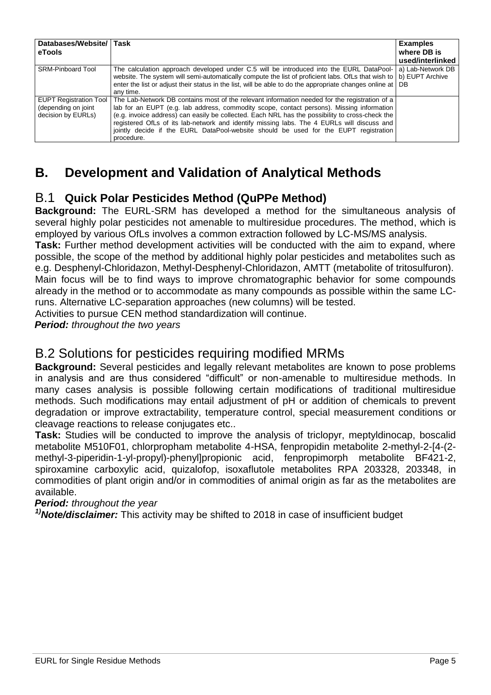| Databases/Website/ Task<br>eTools                                          |                                                                                                                                                                                                                                                                                                                                                                                                                                                                                                   | <b>Examples</b><br>where DB is<br>used/interlinked |
|----------------------------------------------------------------------------|---------------------------------------------------------------------------------------------------------------------------------------------------------------------------------------------------------------------------------------------------------------------------------------------------------------------------------------------------------------------------------------------------------------------------------------------------------------------------------------------------|----------------------------------------------------|
| <b>SRM-Pinboard Tool</b>                                                   | The calculation approach developed under C.5 will be introduced into the EURL DataPool-<br>website. The system will semi-automatically compute the list of proficient labs. Of Ls that wish to<br>enter the list or adjust their status in the list, will be able to do the appropriate changes online at DB<br>any time.                                                                                                                                                                         | a) Lab-Network DB<br>b) EUPT Archive               |
| <b>EUPT Registration Tool</b><br>(depending on joint<br>decision by EURLs) | The Lab-Network DB contains most of the relevant information needed for the registration of a<br>lab for an EUPT (e.g. lab address, commodity scope, contact persons). Missing information<br>(e.g. invoice address) can easily be collected. Each NRL has the possibility to cross-check the<br>registered OfLs of its lab-network and identify missing labs. The 4 EURLs will discuss and<br>jointly decide if the EURL DataPool-website should be used for the EUPT registration<br>procedure. |                                                    |

# **B. Development and Validation of Analytical Methods**

### B.1 **Quick Polar Pesticides Method (QuPPe Method)**

**Background:** The EURL-SRM has developed a method for the simultaneous analysis of several highly polar pesticides not amenable to multiresidue procedures. The method, which is employed by various OfLs involves a common extraction followed by LC-MS/MS analysis.

**Task:** Further method development activities will be conducted with the aim to expand, where possible, the scope of the method by additional highly polar pesticides and metabolites such as e.g. Desphenyl-Chloridazon, Methyl-Desphenyl-Chloridazon, AMTT (metabolite of tritosulfuron).

Main focus will be to find ways to improve chromatographic behavior for some compounds already in the method or to accommodate as many compounds as possible within the same LCruns. Alternative LC-separation approaches (new columns) will be tested.

Activities to pursue CEN method standardization will continue.

*Period: throughout the two years*

## B.2 Solutions for pesticides requiring modified MRMs

**Background:** Several pesticides and legally relevant metabolites are known to pose problems in analysis and are thus considered "difficult" or non-amenable to multiresidue methods. In many cases analysis is possible following certain modifications of traditional multiresidue methods. Such modifications may entail adjustment of pH or addition of chemicals to prevent degradation or improve extractability, temperature control, special measurement conditions or cleavage reactions to release conjugates etc..

**Task:** Studies will be conducted to improve the analysis of triclopyr, meptyldinocap, boscalid metabolite M510F01, chlorpropham metabolite 4-HSA, fenpropidin metabolite 2-methyl-2-[4-(2 methyl-3-piperidin-1-yl-propyl)-phenyl]propionic acid, fenpropimorph metabolite BF421-2, spiroxamine carboxylic acid, quizalofop, isoxaflutole metabolites RPA 203328, 203348, in commodities of plant origin and/or in commodities of animal origin as far as the metabolites are available.

#### *Period: throughout the year*

*1)Note/disclaimer:* This activity may be shifted to 2018 in case of insufficient budget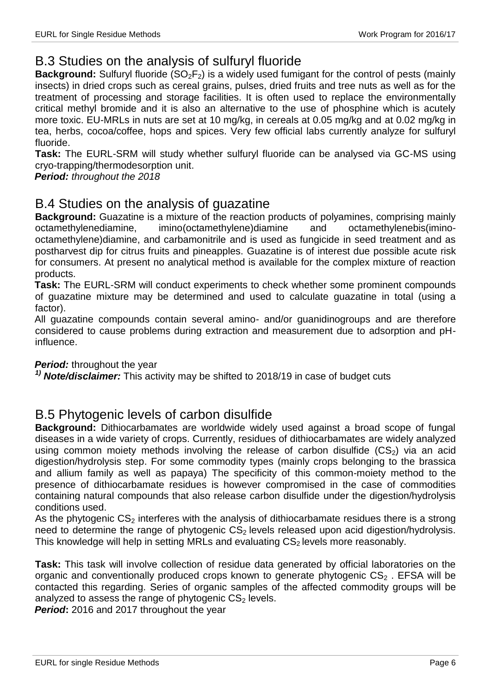## B.3 Studies on the analysis of sulfuryl fluoride

**Background:** Sulfuryl fluoride (SO<sub>2</sub>F<sub>2</sub>) is a widely used fumigant for the control of pests (mainly insects) in dried crops such as cereal grains, pulses, dried fruits and tree nuts as well as for the treatment of processing and storage facilities. It is often used to replace the environmentally critical methyl bromide and it is also an alternative to the use of phosphine which is acutely more toxic. EU-MRLs in nuts are set at 10 mg/kg, in cereals at 0.05 mg/kg and at 0.02 mg/kg in tea, herbs, cocoa/coffee, hops and spices. Very few official labs currently analyze for sulfuryl fluoride.

**Task:** The EURL-SRM will study whether sulfuryl fluoride can be analysed via GC-MS using cryo-trapping/thermodesorption unit.

*Period: throughout the 2018*

### B.4 Studies on the analysis of guazatine

**Background:** Guazatine is a mixture of the reaction products of polyamines, comprising mainly octamethylenediamine, imino(octamethylene)diamine and octamethylenebis(iminooctamethylene)diamine, and carbamonitrile and is used as fungicide in seed treatment and as postharvest dip for citrus fruits and pineapples. Guazatine is of interest due possible acute risk for consumers. At present no analytical method is available for the complex mixture of reaction products.

**Task:** The EURL-SRM will conduct experiments to check whether some prominent compounds of guazatine mixture may be determined and used to calculate guazatine in total (using a factor).

All guazatine compounds contain several amino- and/or guanidinogroups and are therefore considered to cause problems during extraction and measurement due to adsorption and pHinfluence.

*Period:* throughout the year

*1) Note/disclaimer:* This activity may be shifted to 2018/19 in case of budget cuts

#### B.5 Phytogenic levels of carbon disulfide

**Background:** Dithiocarbamates are worldwide widely used against a broad scope of fungal diseases in a wide variety of crops. Currently, residues of dithiocarbamates are widely analyzed using common moiety methods involving the release of carbon disulfide  $(CS<sub>2</sub>)$  via an acid digestion/hydrolysis step. For some commodity types (mainly crops belonging to the brassica and allium family as well as papaya) The specificity of this common-moiety method to the presence of dithiocarbamate residues is however compromised in the case of commodities containing natural compounds that also release carbon disulfide under the digestion/hydrolysis conditions used.

As the phytogenic  $CS<sub>2</sub>$  interferes with the analysis of dithiocarbamate residues there is a strong need to determine the range of phytogenic  $CS<sub>2</sub>$  levels released upon acid digestion/hydrolysis. This knowledge will help in setting MRLs and evaluating  $CS<sub>2</sub>$  levels more reasonably.

**Task:** This task will involve collection of residue data generated by official laboratories on the organic and conventionally produced crops known to generate phytogenic  $CS<sub>2</sub>$ . EFSA will be contacted this regarding. Series of organic samples of the affected commodity groups will be analyzed to assess the range of phytogenic  $CS<sub>2</sub>$  levels.

*Period***:** 2016 and 2017 throughout the year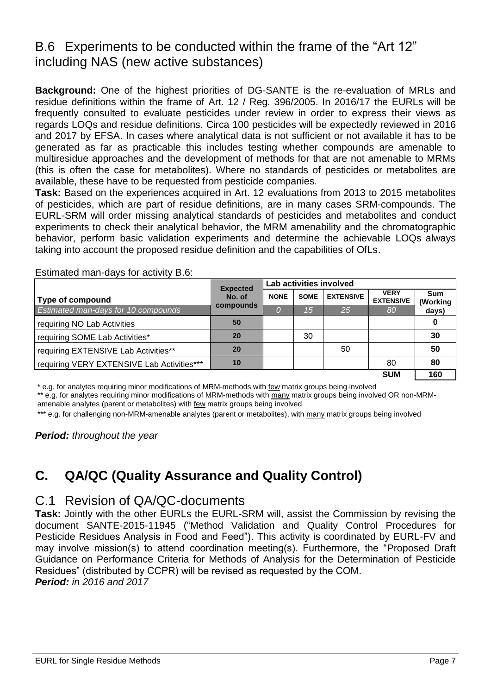## B.6 Experiments to be conducted within the frame of the "Art 12" including NAS (new active substances)

**Background:** One of the highest priorities of DG-SANTE is the re-evaluation of MRLs and residue definitions within the frame of Art. 12 / Reg. 396/2005. In 2016/17 the EURLs will be frequently consulted to evaluate pesticides under review in order to express their views as regards LOQs and residue definitions. Circa 100 pesticides will be expectedly reviewed in 2016 and 2017 by EFSA. In cases where analytical data is not sufficient or not available it has to be generated as far as practicable this includes testing whether compounds are amenable to multiresidue approaches and the development of methods for that are not amenable to MRMs (this is often the case for metabolites). Where no standards of pesticides or metabolites are available, these have to be requested from pesticide companies.

**Task:** Based on the experiences acquired in Art. 12 evaluations from 2013 to 2015 metabolites of pesticides, which are part of residue definitions, are in many cases SRM-compounds. The EURL-SRM will order missing analytical standards of pesticides and metabolites and conduct experiments to check their analytical behavior, the MRM amenability and the chromatographic behavior, perform basic validation experiments and determine the achievable LOQs always taking into account the proposed residue definition and the capabilities of OfLs.

|                                            | <b>Expected</b> |             |             | Lab activities involved |                                 |                        |
|--------------------------------------------|-----------------|-------------|-------------|-------------------------|---------------------------------|------------------------|
| Type of compound                           | No. of          | <b>NONE</b> | <b>SOME</b> | <b>EXTENSIVE</b>        | <b>VERY</b><br><b>EXTENSIVE</b> | <b>Sum</b><br>(Working |
| <b>Estimated man-days for 10 compounds</b> | compounds       | 0           | 15          | 25 <sub>1</sub>         | 80                              | days)                  |
| requiring NO Lab Activities                | 50              |             |             |                         |                                 |                        |
| requiring SOME Lab Activities*             | 20              |             | 30          |                         |                                 | 30                     |
| requiring EXTENSIVE Lab Activities**       | 20              |             |             | 50                      |                                 | 50                     |
| requiring VERY EXTENSIVE Lab Activities*** | 10              |             |             |                         | 80                              | 80                     |
|                                            |                 |             |             |                         | <b>SUM</b>                      | 160                    |

Estimated man-days for activity B.6:

\* e.g. for analytes requiring minor modifications of MRM-methods with few matrix groups being involved

\*\* e.g. for analytes requiring minor modifications of MRM-methods with many matrix groups being involved OR non-MRM-

amenable analytes (parent or metabolites) with few matrix groups being involved

\*\*\* e.g. for challenging non-MRM-amenable analytes (parent or metabolites), with many matrix groups being involved

*Period: throughout the year*

# **C. QA/QC (Quality Assurance and Quality Control)**

#### C.1 Revision of QA/QC-documents

**Task:** Jointly with the other EURLs the EURL-SRM will, assist the Commission by revising the document SANTE-2015-11945 ("Method Validation and Quality Control Procedures for Pesticide Residues Analysis in Food and Feed"). This activity is coordinated by EURL-FV and may involve mission(s) to attend coordination meeting(s). Furthermore, the "Proposed Draft Guidance on Performance Criteria for Methods of Analysis for the Determination of Pesticide Residues" (distributed by CCPR) will be revised as requested by the COM. *Period: in 2016 and 2017*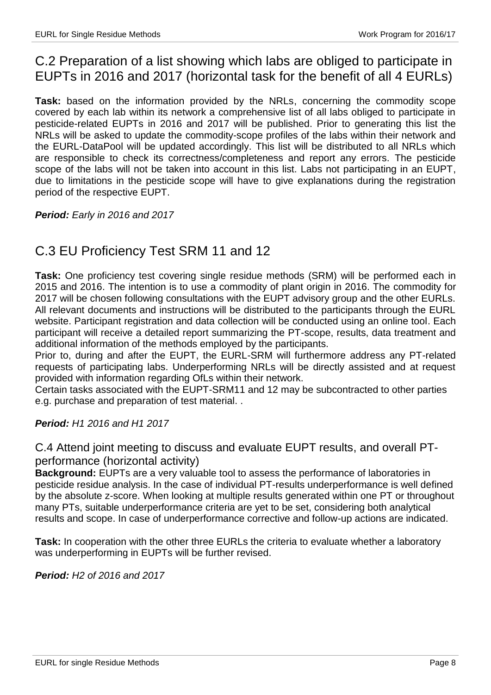# C.2 Preparation of a list showing which labs are obliged to participate in EUPTs in 2016 and 2017 (horizontal task for the benefit of all 4 EURLs)

**Task:** based on the information provided by the NRLs, concerning the commodity scope covered by each lab within its network a comprehensive list of all labs obliged to participate in pesticide-related EUPTs in 2016 and 2017 will be published. Prior to generating this list the NRLs will be asked to update the commodity-scope profiles of the labs within their network and the EURL-DataPool will be updated accordingly. This list will be distributed to all NRLs which are responsible to check its correctness/completeness and report any errors. The pesticide scope of the labs will not be taken into account in this list. Labs not participating in an EUPT, due to limitations in the pesticide scope will have to give explanations during the registration period of the respective EUPT.

*Period: Early in 2016 and 2017*

# C.3 EU Proficiency Test SRM 11 and 12

**Task:** One proficiency test covering single residue methods (SRM) will be performed each in 2015 and 2016. The intention is to use a commodity of plant origin in 2016. The commodity for 2017 will be chosen following consultations with the EUPT advisory group and the other EURLs. All relevant documents and instructions will be distributed to the participants through the EURL website. Participant registration and data collection will be conducted using an online tool. Each participant will receive a detailed report summarizing the PT-scope, results, data treatment and additional information of the methods employed by the participants.

Prior to, during and after the EUPT, the EURL-SRM will furthermore address any PT-related requests of participating labs. Underperforming NRLs will be directly assisted and at request provided with information regarding OfLs within their network.

Certain tasks associated with the EUPT-SRM11 and 12 may be subcontracted to other parties e.g. purchase and preparation of test material. .

#### *Period: H1 2016 and H1 2017*

C.4 Attend joint meeting to discuss and evaluate EUPT results, and overall PTperformance (horizontal activity)

**Background:** EUPTs are a very valuable tool to assess the performance of laboratories in pesticide residue analysis. In the case of individual PT-results underperformance is well defined by the absolute z-score. When looking at multiple results generated within one PT or throughout many PTs, suitable underperformance criteria are yet to be set, considering both analytical results and scope. In case of underperformance corrective and follow-up actions are indicated.

**Task:** In cooperation with the other three EURLs the criteria to evaluate whether a laboratory was underperforming in EUPTs will be further revised.

*Period: H2 of 2016 and 2017*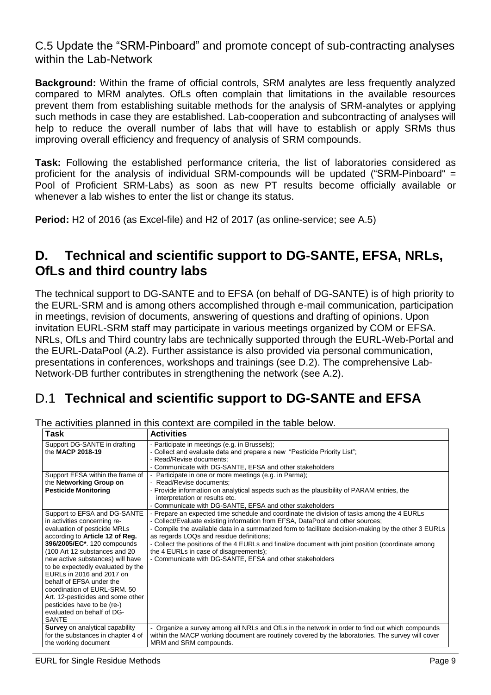C.5 Update the "SRM-Pinboard" and promote concept of sub-contracting analyses within the Lab-Network

**Background:** Within the frame of official controls, SRM analytes are less frequently analyzed compared to MRM analytes. OfLs often complain that limitations in the available resources prevent them from establishing suitable methods for the analysis of SRM-analytes or applying such methods in case they are established. Lab-cooperation and subcontracting of analyses will help to reduce the overall number of labs that will have to establish or apply SRMs thus improving overall efficiency and frequency of analysis of SRM compounds.

**Task:** Following the established performance criteria, the list of laboratories considered as proficient for the analysis of individual SRM-compounds will be updated ("SRM-Pinboard" = Pool of Proficient SRM-Labs) as soon as new PT results become officially available or whenever a lab wishes to enter the list or change its status.

**Period:** H2 of 2016 (as Excel-file) and H2 of 2017 (as online-service; see A.5)

# **D. Technical and scientific support to DG-SANTE, EFSA, NRLs, OfLs and third country labs**

The technical support to DG-SANTE and to EFSA (on behalf of DG-SANTE) is of high priority to the EURL-SRM and is among others accomplished through e-mail communication, participation in meetings, revision of documents, answering of questions and drafting of opinions. Upon invitation EURL-SRM staff may participate in various meetings organized by COM or EFSA. NRLs, OfLs and Third country labs are technically supported through the EURL-Web-Portal and the EURL-DataPool (A.2). Further assistance is also provided via personal communication, presentations in conferences, workshops and trainings (see D.2). The comprehensive Lab-Network-DB further contributes in strengthening the network (see A.2).

# D.1 **Technical and scientific support to DG-SANTE and EFSA**

| Task                                                           | <b>Activities</b>                                                                                    |
|----------------------------------------------------------------|------------------------------------------------------------------------------------------------------|
| Support DG-SANTE in drafting                                   | - Participate in meetings (e.g. in Brussels);                                                        |
| the MACP 2018-19                                               | - Collect and evaluate data and prepare a new "Pesticide Priority List";                             |
|                                                                | - Read/Revise documents;                                                                             |
|                                                                | - Communicate with DG-SANTE, EFSA and other stakeholders                                             |
| Support EFSA within the frame of                               | - Participate in one or more meetings (e.g. in Parma);                                               |
| the Networking Group on                                        | - Read/Revise documents;                                                                             |
| <b>Pesticide Monitoring</b>                                    | - Provide information on analytical aspects such as the plausibility of PARAM entries, the           |
|                                                                | interpretation or results etc.                                                                       |
|                                                                | - Communicate with DG-SANTE, EFSA and other stakeholders                                             |
| Support to EFSA and DG-SANTE                                   | - Prepare an expected time schedule and coordinate the division of tasks among the 4 EURLs           |
| in activities concerning re-                                   | - Collect/Evaluate existing information from EFSA, DataPool and other sources;                       |
| evaluation of pesticide MRLs                                   | - Compile the available data in a summarized form to facilitate decision-making by the other 3 EURLs |
| according to Article 12 of Reg.                                | as regards LOQs and residue definitions;                                                             |
| 396/2005/EC*. 120 compounds                                    | - Collect the positions of the 4 EURLs and finalize document with joint position (coordinate among   |
| (100 Art 12 substances and 20                                  | the 4 EURLs in case of disagreements);                                                               |
| new active substances) will have                               | - Communicate with DG-SANTE, EFSA and other stakeholders                                             |
| to be expectedly evaluated by the<br>EURLs in 2016 and 2017 on |                                                                                                      |
| behalf of EFSA under the                                       |                                                                                                      |
| coordination of EURL-SRM, 50                                   |                                                                                                      |
| Art. 12-pesticides and some other                              |                                                                                                      |
| pesticides have to be (re-)                                    |                                                                                                      |
| evaluated on behalf of DG-                                     |                                                                                                      |
| <b>SANTE</b>                                                   |                                                                                                      |
| Survey on analytical capability                                | - Organize a survey among all NRLs and OfLs in the network in order to find out which compounds      |
| for the substances in chapter 4 of                             | within the MACP working document are routinely covered by the laboratories. The survey will cover    |
| the working document                                           | MRM and SRM compounds.                                                                               |

The activities planned in this context are compiled in the table below.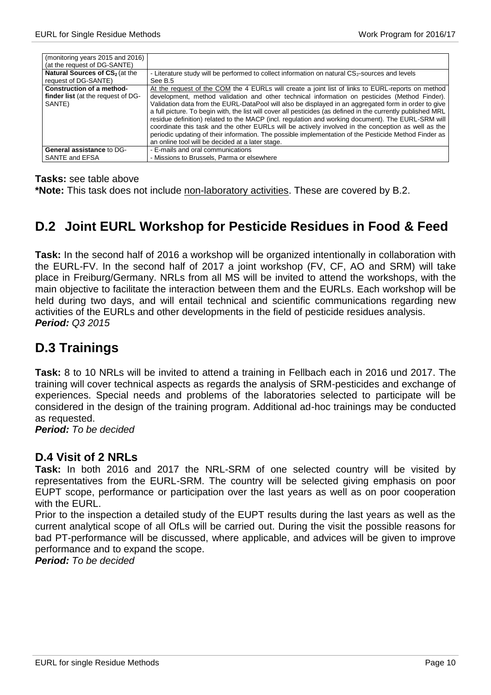| (monitoring years 2015 and 2016)<br>(at the request of DG-SANTE) |                                                                                                              |
|------------------------------------------------------------------|--------------------------------------------------------------------------------------------------------------|
|                                                                  |                                                                                                              |
| Natural Sources of CS <sub>2</sub> (at the                       | - Literature study will be performed to collect information on natural CS <sub>2</sub> -sources and levels   |
| request of DG-SANTE)                                             | See B.5                                                                                                      |
| Construction of a method-                                        | At the request of the COM the 4 EURLs will create a joint list of links to EURL-reports on method            |
| finder list (at the request of DG-                               | development, method validation and other technical information on pesticides (Method Finder).                |
| SANTE)                                                           | Validation data from the EURL-DataPool will also be displayed in an aggregated form in order to give         |
|                                                                  | a full picture. To begin with, the list will cover all pesticides (as defined in the currently published MRL |
|                                                                  | residue definition) related to the MACP (incl. regulation and working document). The EURL-SRM will           |
|                                                                  | coordinate this task and the other EURLs will be actively involved in the conception as well as the          |
|                                                                  | periodic updating of their information. The possible implementation of the Pesticide Method Finder as        |
|                                                                  | an online tool will be decided at a later stage.                                                             |
| <b>General assistance to DG-</b>                                 | - E-mails and oral communications                                                                            |
| SANTE and EFSA                                                   | - Missions to Brussels, Parma or elsewhere                                                                   |

**Tasks:** see table above

**\*Note:** This task does not include non-laboratory activities. These are covered by B.2.

### **D.2 Joint EURL Workshop for Pesticide Residues in Food & Feed**

**Task:** In the second half of 2016 a workshop will be organized intentionally in collaboration with the EURL-FV. In the second half of 2017 a joint workshop (FV, CF, AO and SRM) will take place in Freiburg/Germany. NRLs from all MS will be invited to attend the workshops, with the main objective to facilitate the interaction between them and the EURLs. Each workshop will be held during two days, and will entail technical and scientific communications regarding new activities of the EURLs and other developments in the field of pesticide residues analysis. *Period: Q3 2015*

# **D.3 Trainings**

**Task:** 8 to 10 NRLs will be invited to attend a training in Fellbach each in 2016 und 2017. The training will cover technical aspects as regards the analysis of SRM-pesticides and exchange of experiences. Special needs and problems of the laboratories selected to participate will be considered in the design of the training program. Additional ad-hoc trainings may be conducted as requested.

*Period: To be decided*

#### **D.4 Visit of 2 NRLs**

**Task:** In both 2016 and 2017 the NRL-SRM of one selected country will be visited by representatives from the EURL-SRM. The country will be selected giving emphasis on poor EUPT scope, performance or participation over the last years as well as on poor cooperation with the FURL.

Prior to the inspection a detailed study of the EUPT results during the last years as well as the current analytical scope of all OfLs will be carried out. During the visit the possible reasons for bad PT-performance will be discussed, where applicable, and advices will be given to improve performance and to expand the scope.

*Period: To be decided*